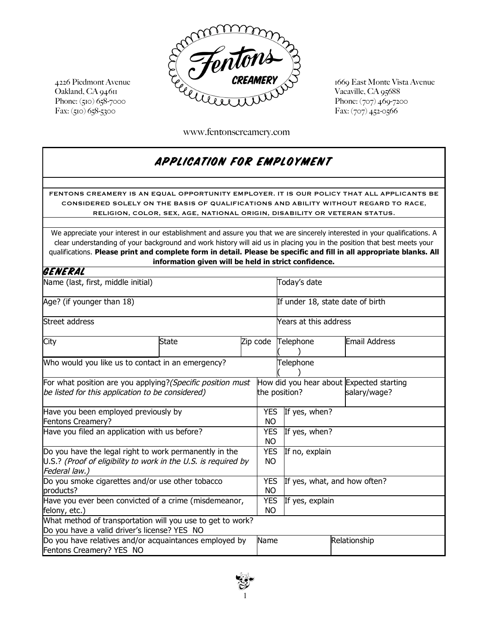

Phone: (707) 469-7200

I

www.fentonscreamery.com

## APPLICATION FOR EMPLOYMENT

FENTONS CREAMERY IS AN EQUAL OPPORTUNITY EMPLOYER. IT IS OUR POLICY THAT ALL APPLICANTS BE CONSIDERED SOLELY ON THE BASIS OF QUALIFICATIONS AND ABILITY WITHOUT REGARD TO RACE, RELIGION, COLOR, SEX, AGE, NATIONAL ORIGIN, DISABILITY OR VETERAN STATUS.

We appreciate your interest in our establishment and assure you that we are sincerely interested in your qualifications. A clear understanding of your background and work history will aid us in placing you in the position that best meets your qualifications. **Please print and complete form in detail. Please be specific and fill in all appropriate blanks. All information given will be held in strict confidence.**

| GENERAL                                                                                                                                   |  |              |                         |                                                                           |  |               |  |  |
|-------------------------------------------------------------------------------------------------------------------------------------------|--|--------------|-------------------------|---------------------------------------------------------------------------|--|---------------|--|--|
| Name (last, first, middle initial)                                                                                                        |  | Today's date |                         |                                                                           |  |               |  |  |
| Age? (if younger than 18)                                                                                                                 |  |              |                         | If under 18, state date of birth                                          |  |               |  |  |
| Street address                                                                                                                            |  |              |                         | Years at this address                                                     |  |               |  |  |
| City<br><b>State</b>                                                                                                                      |  |              | Zip code                | Telephone                                                                 |  | Email Address |  |  |
| Who would you like us to contact in an emergency?                                                                                         |  |              |                         | Telephone                                                                 |  |               |  |  |
| For what position are you applying? (Specific position must<br>be listed for this application to be considered)                           |  |              |                         | How did you hear about Expected starting<br>the position?<br>salary/wage? |  |               |  |  |
| Have you been employed previously by<br><b>Fentons Creamery?</b>                                                                          |  |              | NO.                     | YES If yes, when?                                                         |  |               |  |  |
| Have you filed an application with us before?                                                                                             |  |              | <b>YES</b><br>NO.       | If yes, when?                                                             |  |               |  |  |
| Do you have the legal right to work permanently in the<br>U.S.? (Proof of eligibility to work in the U.S. is required by<br>Federal law.) |  |              | <b>YES</b><br>NO.       | If no, explain                                                            |  |               |  |  |
| Do you smoke cigarettes and/or use other tobacco<br>products?                                                                             |  |              | YES.<br>NO.             | If yes, what, and how often?                                              |  |               |  |  |
| Have you ever been convicted of a crime (misdemeanor,<br>felony, etc.)                                                                    |  |              | <b>YES</b><br><b>NO</b> | If yes, explain                                                           |  |               |  |  |
| What method of transportation will you use to get to work?<br>Do you have a valid driver's license? YES NO                                |  |              |                         |                                                                           |  |               |  |  |
| Do you have relatives and/or acquaintances employed by<br>Fentons Creamery? YES NO                                                        |  |              | Name                    |                                                                           |  | Relationship  |  |  |

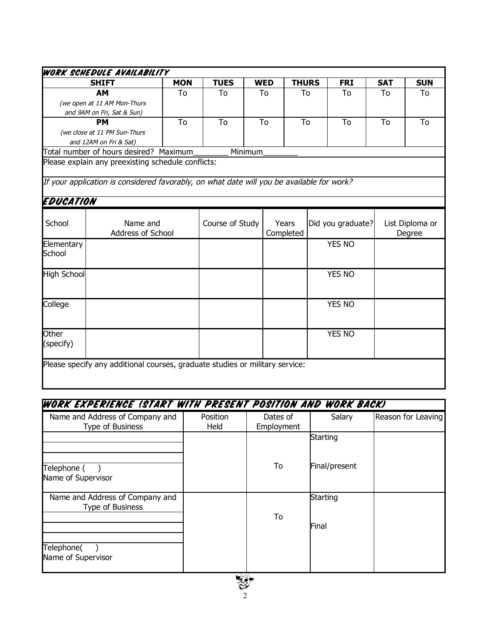|                                         | <b>SHIFT</b>                                                                              | <b>MON</b> | <b>TUES</b>     |         | <b>WED</b> | <b>THURS</b> |                   | <b>FRI</b>    | <b>SAT</b>      | <b>SUN</b> |
|-----------------------------------------|-------------------------------------------------------------------------------------------|------------|-----------------|---------|------------|--------------|-------------------|---------------|-----------------|------------|
|                                         | <b>AM</b>                                                                                 | To         | To              | To      |            | To           |                   | To            | To              | To         |
|                                         | (we open at 11 AM Mon-Thurs                                                               |            |                 |         |            |              |                   |               |                 |            |
|                                         | and 9AM on Fri, Sat & Sun)                                                                |            |                 |         |            |              |                   |               |                 |            |
|                                         | <b>PM</b>                                                                                 | To         | To              |         | To<br>To   |              | To                |               | To<br>To        |            |
|                                         | (we close at 11 PM Sun-Thurs                                                              |            |                 |         |            |              |                   |               |                 |            |
|                                         | and 12AM on Fri & Sat)                                                                    |            |                 |         |            |              |                   |               |                 |            |
|                                         | Total number of hours desired? Maximum                                                    |            |                 | Minimum |            |              |                   |               |                 |            |
|                                         | Please explain any preexisting schedule conflicts:                                        |            |                 |         |            |              |                   |               |                 |            |
|                                         |                                                                                           |            |                 |         |            |              |                   |               |                 |            |
|                                         | If your application is considered favorably, on what date will you be available for work? |            |                 |         |            |              |                   |               |                 |            |
|                                         |                                                                                           |            |                 |         |            |              |                   |               |                 |            |
| EDUCATION                               |                                                                                           |            |                 |         |            |              |                   |               |                 |            |
|                                         |                                                                                           |            |                 |         |            |              |                   |               |                 |            |
| School<br>Name and<br>Address of School |                                                                                           |            | Course of Study |         | Years      |              | Did you graduate? |               | List Diploma or |            |
|                                         |                                                                                           |            |                 |         | Completed  |              |                   |               |                 | Degree     |
| Elementary                              |                                                                                           |            |                 |         |            |              |                   | <b>YES NO</b> |                 |            |
| School                                  |                                                                                           |            |                 |         |            |              |                   |               |                 |            |
|                                         |                                                                                           |            |                 |         |            |              |                   |               |                 |            |
| <b>High School</b>                      |                                                                                           |            |                 |         |            |              |                   | YES NO        |                 |            |
|                                         |                                                                                           |            |                 |         |            |              |                   |               |                 |            |
|                                         |                                                                                           |            |                 |         |            |              |                   |               |                 |            |
| College                                 |                                                                                           |            |                 |         |            |              |                   | YES NO        |                 |            |
|                                         |                                                                                           |            |                 |         |            |              |                   |               |                 |            |
|                                         |                                                                                           |            |                 |         |            |              |                   |               |                 |            |
| Other                                   |                                                                                           |            |                 |         |            |              |                   |               |                 |            |
| (specify)                               |                                                                                           |            |                 |         |            |              |                   | YES NO        |                 |            |
|                                         |                                                                                           |            |                 |         |            |              |                   |               |                 |            |
|                                         |                                                                                           |            |                 |         |            |              |                   |               |                 |            |

# WORK EXPERIENCE (START WITH PRESENT POSITION AND WORK BACK)

| Name and Address of Company and<br>Type of Business | Position<br>Held | Dates of<br>Employment | Salary            | Reason for Leaving |
|-----------------------------------------------------|------------------|------------------------|-------------------|--------------------|
|                                                     |                  |                        | Starting          |                    |
| Telephone (<br>Name of Supervisor                   |                  | To                     | Final/present     |                    |
| Name and Address of Company and<br>Type of Business |                  | To                     | Starting<br>Final |                    |
| Telephone(<br>Name of Supervisor                    |                  |                        |                   |                    |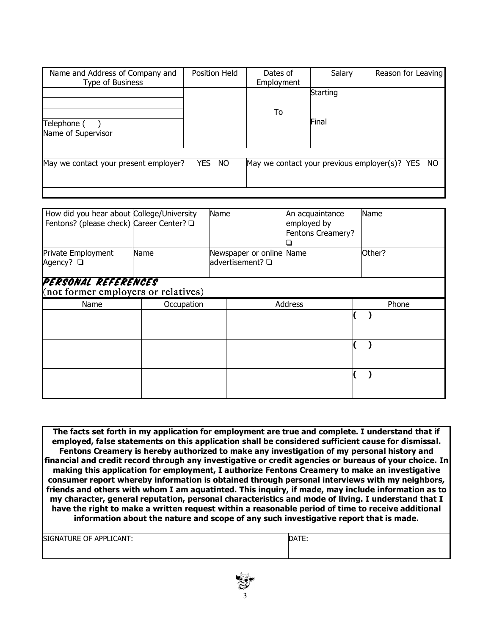| Name and Address of Company and<br>Type of Business | Position Held    | Dates of<br>Employment | Salary   | Reason for Leaving                               |
|-----------------------------------------------------|------------------|------------------------|----------|--------------------------------------------------|
|                                                     |                  | To                     | Starting |                                                  |
| Telephone (<br>Name of Supervisor                   |                  |                        | Final    |                                                  |
|                                                     |                  |                        |          |                                                  |
| May we contact your present employer?               | <b>YES</b><br>NO |                        |          | May we contact your previous employer(s)? YES NO |

| How did you hear about College/University<br>Fentons? (please check) Career Center? Q |            | Name |                                              | An acquaintance<br>employed by<br>Fentons Creamery? | Name   |
|---------------------------------------------------------------------------------------|------------|------|----------------------------------------------|-----------------------------------------------------|--------|
| Private Employment<br>Agency? □                                                       | Name       |      | Newspaper or online Name<br>advertisement? Q |                                                     | Other? |
| PERSONAL REFERENCES<br>(not former employers or relatives)                            |            |      |                                              |                                                     |        |
| Name                                                                                  | Occupation |      |                                              | <b>Address</b>                                      | Phone  |
|                                                                                       |            |      |                                              |                                                     |        |
|                                                                                       |            |      |                                              |                                                     |        |
|                                                                                       |            |      |                                              |                                                     |        |

**The facts set forth in my application for employment are true and complete. I understand that if employed, false statements on this application shall be considered sufficient cause for dismissal. Fentons Creamery is hereby authorized to make any investigation of my personal history and financial and credit record through any investigative or credit agencies or bureaus of your choice. In making this application for employment, I authorize Fentons Creamery to make an investigative consumer report whereby information is obtained through personal interviews with my neighbors, friends and others with whom I am aquatinted. This inquiry, if made, may include information as to my character, general reputation, personal characteristics and mode of living. I understand that I have the right to make a written request within a reasonable period of time to receive additional information about the nature and scope of any such investigative report that is made.**

| <b>APPLICANT:</b> | $-$   |
|-------------------|-------|
| <b>OF</b>         | DATE: |
| <b>SIGNATURE</b>  |       |
|                   |       |

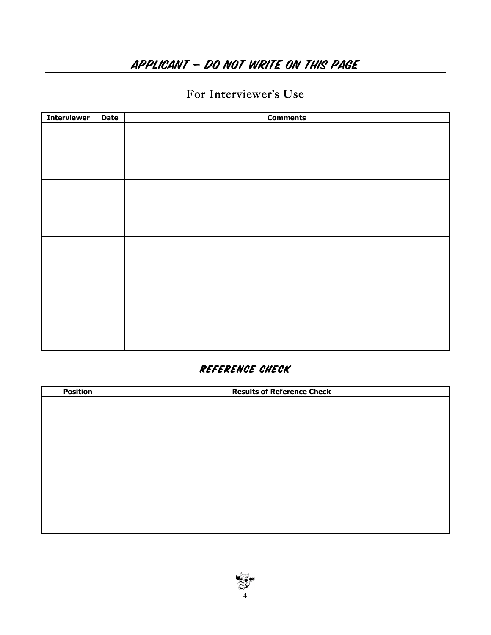# APPLICANT – DO NOT WRITE ON THIS PAGE

## For Interviewer's Use

| <b>Interviewer</b> | <b>Date</b> | <b>Comments</b> |
|--------------------|-------------|-----------------|
|                    |             |                 |
|                    |             |                 |
|                    |             |                 |
|                    |             |                 |
|                    |             |                 |
|                    |             |                 |
|                    |             |                 |
|                    |             |                 |
|                    |             |                 |
|                    |             |                 |
|                    |             |                 |
|                    |             |                 |
|                    |             |                 |
|                    |             |                 |
|                    |             |                 |
|                    |             |                 |
|                    |             |                 |
|                    |             |                 |
|                    |             |                 |
|                    |             |                 |

### Reference check

| <b>Position</b> | <b>Results of Reference Check</b> |
|-----------------|-----------------------------------|
|                 |                                   |
|                 |                                   |
|                 |                                   |
|                 |                                   |
|                 |                                   |
|                 |                                   |
|                 |                                   |
|                 |                                   |
|                 |                                   |
|                 |                                   |
|                 |                                   |
|                 |                                   |

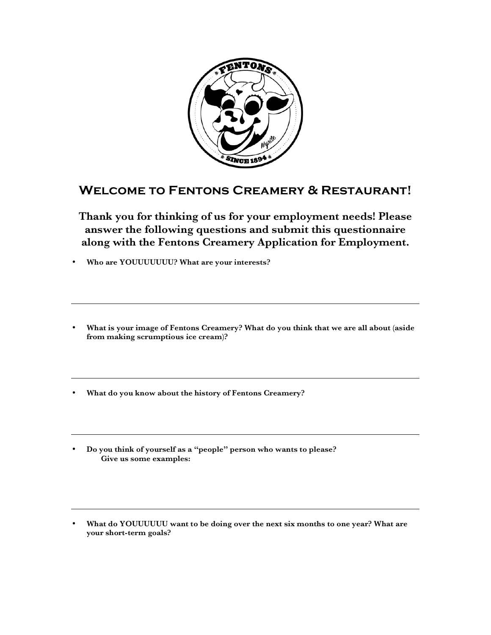

### **Welcome to Fentons Creamery & Restaurant!**

**Thank you for thinking of us for your employment needs! Please answer the following questions and submit this questionnaire along with the Fentons Creamery Application for Employment.**

• **Who are YOUUUUUUU? What are your interests?**

- **What is your image of Fentons Creamery? What do you think that we are all about (aside from making scrumptious ice cream)?**
- **What do you know about the history of Fentons Creamery?**
- **Do you think of yourself as a "people" person who wants to please? Give us some examples:**
- **What do YOUUUUUU want to be doing over the next six months to one year? What are your short-term goals?**